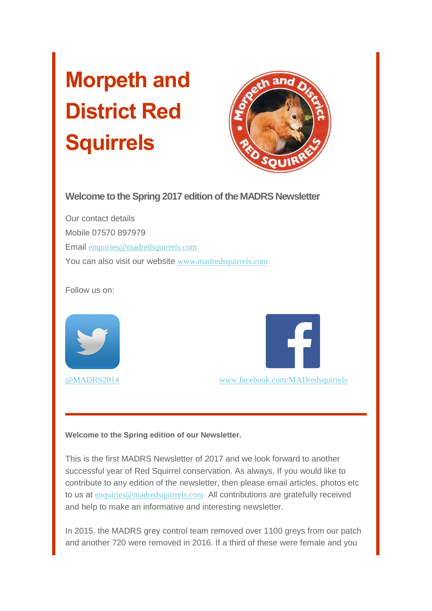# **Morpeth and District Red Squirrels**



**Welcome to the Spring 2017 edition of the MADRS Newsletter**

Our contact details Mobile 07570 897979 Email [enquiries@madredsquirrels.com](mailto:enquiries@madredsquirrels.com) You can also visit our website [www.madredsquirrels.com](http://madredsquirrels.us9.list-manage1.com/track/click?u=de8abd118e0fd1ca285927950&id=a3949c9f7e&e=0886f496fa)

Follow us on:





[@MADRS2014](http://madredsquirrels.us9.list-manage.com/track/click?u=de8abd118e0fd1ca285927950&id=70d927abac&e=0886f496fa) [www.facebook.com/MADredsquirrels](http://madredsquirrels.us9.list-manage.com/track/click?u=de8abd118e0fd1ca285927950&id=0457d3efe2&e=0886f496fa)

**Welcome to the Spring edition of our Newsletter.**

This is the first MADRS Newsletter of 2017 and we look forward to another successful year of Red Squirrel conservation. As always, If you would like to contribute to any edition of the newsletter, then please email articles, photos etc to us at [enquiries@madredsquirrels.com](mailto:enquiries@madredsquirrels.com) All contributions are gratefully received and help to make an informative and interesting newsletter.

In 2015, the MADRS grey control team removed over 1100 greys from our patch and another 720 were removed in 2016. If a third of these were female and you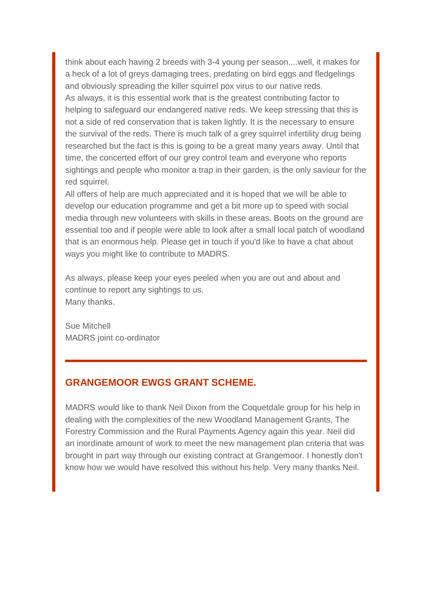think about each having 2 breeds with 3-4 young per season....well, it makes for a heck of a lot of greys damaging trees, predating on bird eggs and fledgelings and obviously spreading the killer squirrel pox virus to our native reds. As always, it is this essential work that is the greatest contributing factor to helping to safeguard our endangered native reds. We keep stressing that this is not a side of red conservation that is taken lightly. It is the necessary to ensure the survival of the reds. There is much talk of a grey squirrel infertility drug being researched but the fact is this is going to be a great many years away. Until that time, the concerted effort of our grey control team and everyone who reports sightings and people who monitor a trap in their garden, is the only saviour for the red squirrel.

All offers of help are much appreciated and it is hoped that we will be able to develop our education programme and get a bit more up to speed with social media through new volunteers with skills in these areas. Boots on the ground are essential too and if people were able to look after a small local patch of woodland that is an enormous help. Please get in touch if you'd like to have a chat about ways you might like to contribute to MADRS.

As always, please keep your eyes peeled when you are out and about and continue to report any sightings to us. Many thanks.

Sue Mitchell MADRS joint co-ordinator

## **GRANGEMOOR EWGS GRANT SCHEME.**

MADRS would like to thank Neil Dixon from the Coquetdale group for his help in dealing with the complexities of the new Woodland Management Grants, The Forestry Commission and the Rural Payments Agency again this year. Neil did an inordinate amount of work to meet the new management plan criteria that was brought in part way through our existing contract at Grangemoor. I honestly don't know how we would have resolved this without his help. Very many thanks Neil.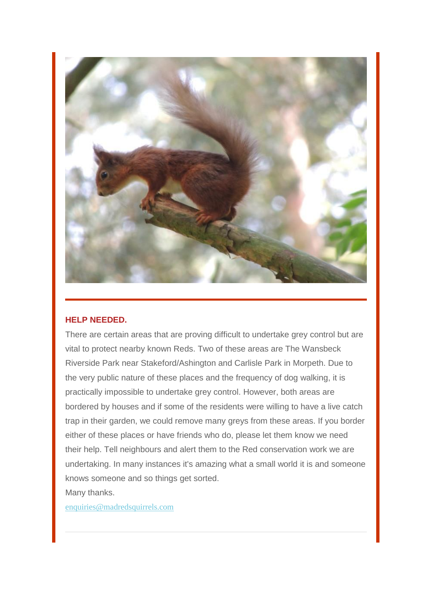

#### **HELP NEEDED.**

There are certain areas that are proving difficult to undertake grey control but are vital to protect nearby known Reds. Two of these areas are The Wansbeck Riverside Park near Stakeford/Ashington and Carlisle Park in Morpeth. Due to the very public nature of these places and the frequency of dog walking, it is practically impossible to undertake grey control. However, both areas are bordered by houses and if some of the residents were willing to have a live catch trap in their garden, we could remove many greys from these areas. If you border either of these places or have friends who do, please let them know we need their help. Tell neighbours and alert them to the Red conservation work we are undertaking. In many instances it's amazing what a small world it is and someone knows someone and so things get sorted.

Many thanks.

[enquiries@madredsquirrels.com](mailto:enquiries@madredsquirrels.com)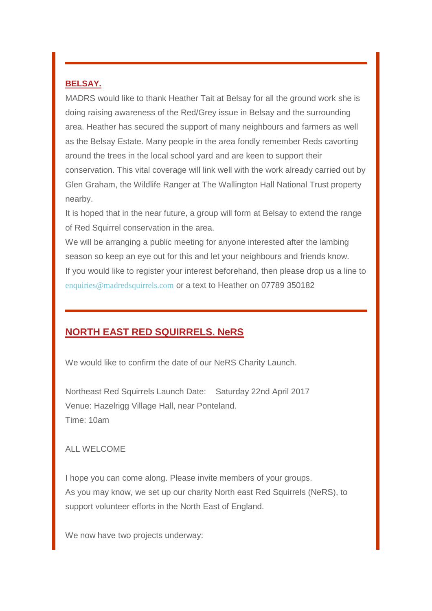### **BELSAY.**

MADRS would like to thank Heather Tait at Belsay for all the ground work she is doing raising awareness of the Red/Grey issue in Belsay and the surrounding area. Heather has secured the support of many neighbours and farmers as well as the Belsay Estate. Many people in the area fondly remember Reds cavorting around the trees in the local school yard and are keen to support their conservation. This vital coverage will link well with the work already carried out by Glen Graham, the Wildlife Ranger at The Wallington Hall National Trust property nearby.

It is hoped that in the near future, a group will form at Belsay to extend the range of Red Squirrel conservation in the area.

We will be arranging a public meeting for anyone interested after the lambing season so keep an eye out for this and let your neighbours and friends know. If you would like to register your interest beforehand, then please drop us a line to [enquiries@madredsquirrels.com](mailto:enquiries@madredsquirrels.com) or a text to Heather on 07789 350182

# **NORTH EAST RED SQUIRRELS. NeRS**

We would like to confirm the date of our NeRS Charity Launch.

Northeast Red Squirrels Launch Date: Saturday 22nd April 2017 Venue: Hazelrigg Village Hall, near Ponteland. Time: 10am

ALL WELCOME

I hope you can come along. Please invite members of your groups. As you may know, we set up our charity North east Red Squirrels (NeRS), to support volunteer efforts in the North East of England.

We now have two projects underway: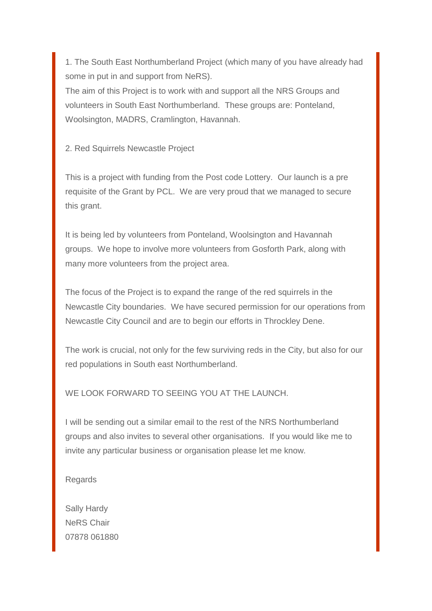1. The South East Northumberland Project (which many of you have already had some in put in and support from NeRS).

The aim of this Project is to work with and support all the NRS Groups and volunteers in South East Northumberland. These groups are: Ponteland, Woolsington, MADRS, Cramlington, Havannah.

2. Red Squirrels Newcastle Project

This is a project with funding from the Post code Lottery. Our launch is a pre requisite of the Grant by PCL. We are very proud that we managed to secure this grant.

It is being led by volunteers from Ponteland, Woolsington and Havannah groups. We hope to involve more volunteers from Gosforth Park, along with many more volunteers from the project area.

The focus of the Project is to expand the range of the red squirrels in the Newcastle City boundaries. We have secured permission for our operations from Newcastle City Council and are to begin our efforts in Throckley Dene.

The work is crucial, not only for the few surviving reds in the City, but also for our red populations in South east Northumberland.

WE LOOK FORWARD TO SEEING YOU AT THE LAUNCH.

I will be sending out a similar email to the rest of the NRS Northumberland groups and also invites to several other organisations. If you would like me to invite any particular business or organisation please let me know.

Regards

Sally Hardy NeRS Chair 07878 061880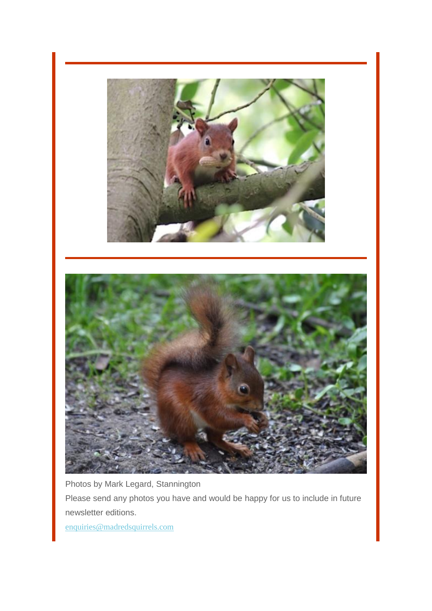



Photos by Mark Legard, Stannington

Please send any photos you have and would be happy for us to include in future newsletter editions.

[enquiries@madredsquirrels.com](mailto:enquiries@madredsquirrels.com)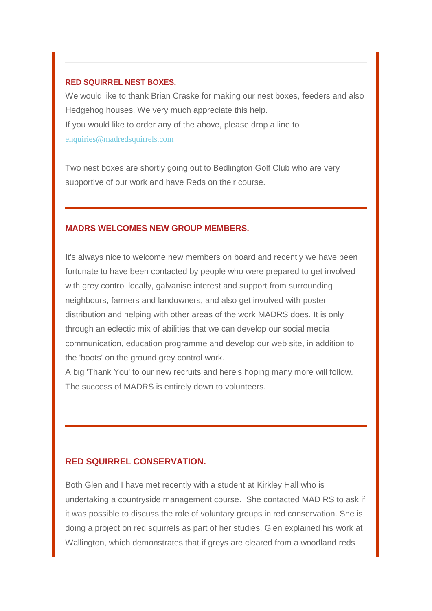#### **RED SQUIRREL NEST BOXES.**

We would like to thank Brian Craske for making our nest boxes, feeders and also Hedgehog houses. We very much appreciate this help. If you would like to order any of the above, please drop a line to [enquiries@madredsquirrels.com](mailto:enquiries@madredsquirrels.com)

Two nest boxes are shortly going out to Bedlington Golf Club who are very supportive of our work and have Reds on their course.

#### **MADRS WELCOMES NEW GROUP MEMBERS.**

It's always nice to welcome new members on board and recently we have been fortunate to have been contacted by people who were prepared to get involved with grey control locally, galvanise interest and support from surrounding neighbours, farmers and landowners, and also get involved with poster distribution and helping with other areas of the work MADRS does. It is only through an eclectic mix of abilities that we can develop our social media communication, education programme and develop our web site, in addition to the 'boots' on the ground grey control work.

A big 'Thank You' to our new recruits and here's hoping many more will follow. The success of MADRS is entirely down to volunteers.

#### **RED SQUIRREL CONSERVATION.**

Both Glen and I have met recently with a student at Kirkley Hall who is undertaking a countryside management course. She contacted MAD RS to ask if it was possible to discuss the role of voluntary groups in red conservation. She is doing a project on red squirrels as part of her studies. Glen explained his work at Wallington, which demonstrates that if greys are cleared from a woodland reds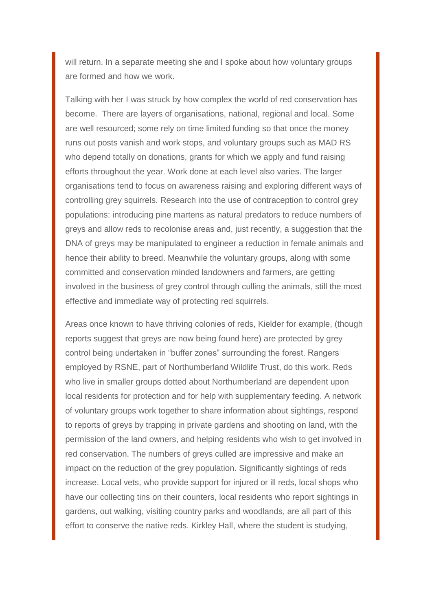will return. In a separate meeting she and I spoke about how voluntary groups are formed and how we work.

Talking with her I was struck by how complex the world of red conservation has become. There are layers of organisations, national, regional and local. Some are well resourced; some rely on time limited funding so that once the money runs out posts vanish and work stops, and voluntary groups such as MAD RS who depend totally on donations, grants for which we apply and fund raising efforts throughout the year. Work done at each level also varies. The larger organisations tend to focus on awareness raising and exploring different ways of controlling grey squirrels. Research into the use of contraception to control grey populations: introducing pine martens as natural predators to reduce numbers of greys and allow reds to recolonise areas and, just recently, a suggestion that the DNA of greys may be manipulated to engineer a reduction in female animals and hence their ability to breed. Meanwhile the voluntary groups, along with some committed and conservation minded landowners and farmers, are getting involved in the business of grey control through culling the animals, still the most effective and immediate way of protecting red squirrels.

Areas once known to have thriving colonies of reds, Kielder for example, (though reports suggest that greys are now being found here) are protected by grey control being undertaken in "buffer zones" surrounding the forest. Rangers employed by RSNE, part of Northumberland Wildlife Trust, do this work. Reds who live in smaller groups dotted about Northumberland are dependent upon local residents for protection and for help with supplementary feeding. A network of voluntary groups work together to share information about sightings, respond to reports of greys by trapping in private gardens and shooting on land, with the permission of the land owners, and helping residents who wish to get involved in red conservation. The numbers of greys culled are impressive and make an impact on the reduction of the grey population. Significantly sightings of reds increase. Local vets, who provide support for injured or ill reds, local shops who have our collecting tins on their counters, local residents who report sightings in gardens, out walking, visiting country parks and woodlands, are all part of this effort to conserve the native reds. Kirkley Hall, where the student is studying,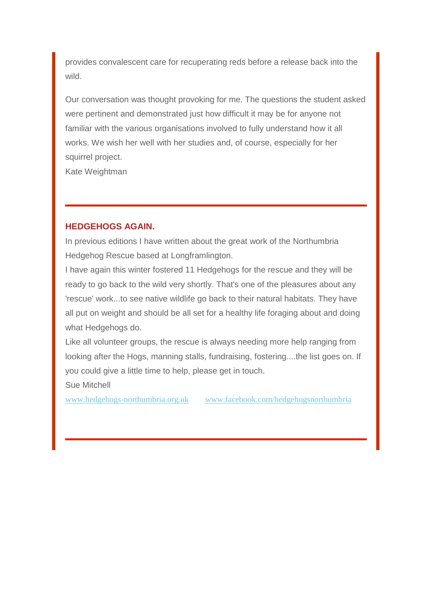provides convalescent care for recuperating reds before a release back into the wild.

Our conversation was thought provoking for me. The questions the student asked were pertinent and demonstrated just how difficult it may be for anyone not familiar with the various organisations involved to fully understand how it all works. We wish her well with her studies and, of course, especially for her squirrel project.

Kate Weightman

## **HEDGEHOGS AGAIN.**

In previous editions I have written about the great work of the Northumbria Hedgehog Rescue based at Longframlington.

I have again this winter fostered 11 Hedgehogs for the rescue and they will be ready to go back to the wild very shortly. That's one of the pleasures about any 'rescue' work...to see native wildlife go back to their natural habitats. They have all put on weight and should be all set for a healthy life foraging about and doing what Hedgehogs do.

Like all volunteer groups, the rescue is always needing more help ranging from looking after the Hogs, manning stalls, fundraising, fostering....the list goes on. If you could give a little time to help, please get in touch.

Sue Mitchell

[www.hedgehogs-northumbria.org.uk](http://madredsquirrels.us9.list-manage1.com/track/click?u=de8abd118e0fd1ca285927950&id=988b1af8f8&e=0886f496fa) [www.facebook.com/hedgehogsnorthumbria](http://madredsquirrels.us9.list-manage.com/track/click?u=de8abd118e0fd1ca285927950&id=d99116e1c9&e=0886f496fa)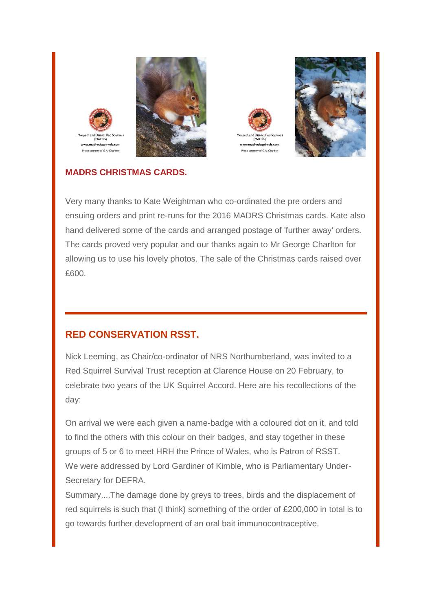







and District Red Squi

(MADRS

dredsquiri

oto courtesy of G.A. Charltor

Very many thanks to Kate Weightman who co-ordinated the pre orders and ensuing orders and print re-runs for the 2016 MADRS Christmas cards. Kate also hand delivered some of the cards and arranged postage of 'further away' orders. The cards proved very popular and our thanks again to Mr George Charlton for allowing us to use his lovely photos. The sale of the Christmas cards raised over £600.

# **RED CONSERVATION RSST.**

Nick Leeming, as Chair/co-ordinator of NRS Northumberland, was invited to a Red Squirrel Survival Trust reception at Clarence House on 20 February, to celebrate two years of the UK Squirrel Accord. Here are his recollections of the day:

On arrival we were each given a name-badge with a coloured dot on it, and told to find the others with this colour on their badges, and stay together in these groups of 5 or 6 to meet HRH the Prince of Wales, who is Patron of RSST. We were addressed by Lord Gardiner of Kimble, who is Parliamentary Under-Secretary for DEFRA.

Summary....The damage done by greys to trees, birds and the displacement of red squirrels is such that (I think) something of the order of £200,000 in total is to go towards further development of an oral bait immunocontraceptive.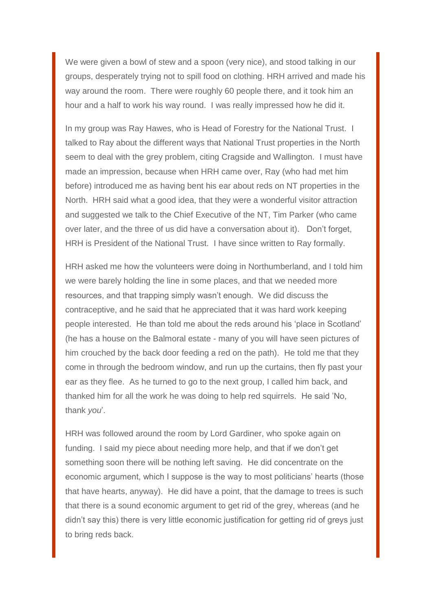We were given a bowl of stew and a spoon (very nice), and stood talking in our groups, desperately trying not to spill food on clothing. HRH arrived and made his way around the room. There were roughly 60 people there, and it took him an hour and a half to work his way round. I was really impressed how he did it.

In my group was Ray Hawes, who is Head of Forestry for the National Trust. I talked to Ray about the different ways that National Trust properties in the North seem to deal with the grey problem, citing Cragside and Wallington. I must have made an impression, because when HRH came over, Ray (who had met him before) introduced me as having bent his ear about reds on NT properties in the North. HRH said what a good idea, that they were a wonderful visitor attraction and suggested we talk to the Chief Executive of the NT, Tim Parker (who came over later, and the three of us did have a conversation about it). Don't forget, HRH is President of the National Trust. I have since written to Ray formally.

HRH asked me how the volunteers were doing in Northumberland, and I told him we were barely holding the line in some places, and that we needed more resources, and that trapping simply wasn't enough. We did discuss the contraceptive, and he said that he appreciated that it was hard work keeping people interested. He than told me about the reds around his 'place in Scotland' (he has a house on the Balmoral estate - many of you will have seen pictures of him crouched by the back door feeding a red on the path). He told me that they come in through the bedroom window, and run up the curtains, then fly past your ear as they flee. As he turned to go to the next group, I called him back, and thanked him for all the work he was doing to help red squirrels. He said 'No, thank *you*'.

HRH was followed around the room by Lord Gardiner, who spoke again on funding. I said my piece about needing more help, and that if we don't get something soon there will be nothing left saving. He did concentrate on the economic argument, which I suppose is the way to most politicians' hearts (those that have hearts, anyway). He did have a point, that the damage to trees is such that there is a sound economic argument to get rid of the grey, whereas (and he didn't say this) there is very little economic justification for getting rid of greys just to bring reds back.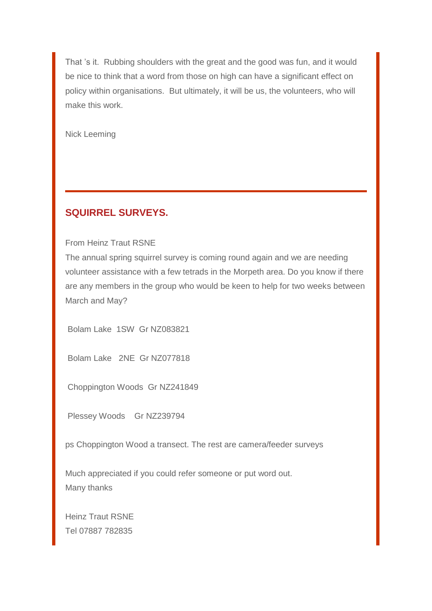That 's it. Rubbing shoulders with the great and the good was fun, and it would be nice to think that a word from those on high can have a significant effect on policy within organisations. But ultimately, it will be us, the volunteers, who will make this work.

Nick Leeming

## **SQUIRREL SURVEYS.**

From Heinz Traut RSNE

The annual spring squirrel survey is coming round again and we are needing volunteer assistance with a few tetrads in the Morpeth area. Do you know if there are any members in the group who would be keen to help for two weeks between March and May?

Bolam Lake 1SW Gr NZ083821

Bolam Lake 2NE Gr NZ077818

Choppington Woods Gr NZ241849

Plessey Woods Gr NZ239794

ps Choppington Wood a transect. The rest are camera/feeder surveys

Much appreciated if you could refer someone or put word out. Many thanks

Heinz Traut RSNE Tel 07887 782835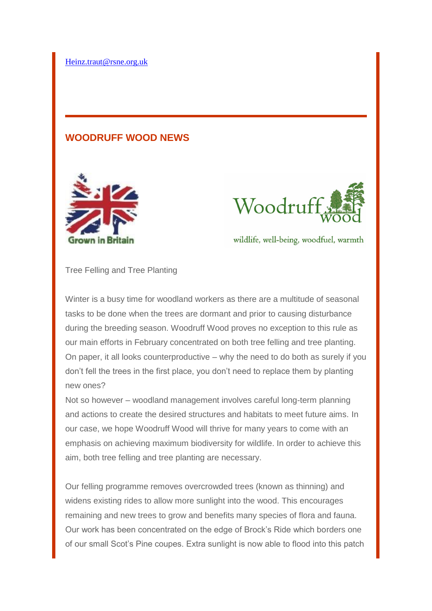## **WOODRUFF WOOD NEWS**





wildlife, well-being, woodfuel, warmth

Tree Felling and Tree Planting

Winter is a busy time for woodland workers as there are a multitude of seasonal tasks to be done when the trees are dormant and prior to causing disturbance during the breeding season. Woodruff Wood proves no exception to this rule as our main efforts in February concentrated on both tree felling and tree planting. On paper, it all looks counterproductive – why the need to do both as surely if you don't fell the trees in the first place, you don't need to replace them by planting new ones?

Not so however – woodland management involves careful long-term planning and actions to create the desired structures and habitats to meet future aims. In our case, we hope Woodruff Wood will thrive for many years to come with an emphasis on achieving maximum biodiversity for wildlife. In order to achieve this aim, both tree felling and tree planting are necessary.

Our felling programme removes overcrowded trees (known as thinning) and widens existing rides to allow more sunlight into the wood. This encourages remaining and new trees to grow and benefits many species of flora and fauna. Our work has been concentrated on the edge of Brock's Ride which borders one of our small Scot's Pine coupes. Extra sunlight is now able to flood into this patch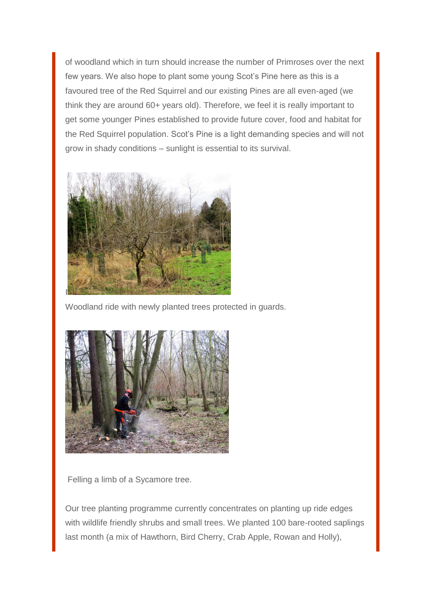of woodland which in turn should increase the number of Primroses over the next few years. We also hope to plant some young Scot's Pine here as this is a favoured tree of the Red Squirrel and our existing Pines are all even-aged (we think they are around 60+ years old). Therefore, we feel it is really important to get some younger Pines established to provide future cover, food and habitat for the Red Squirrel population. Scot's Pine is a light demanding species and will not grow in shady conditions – sunlight is essential to its survival.



Woodland ride with newly planted trees protected in guards.



Felling a limb of a Sycamore tree.

Our tree planting programme currently concentrates on planting up ride edges with wildlife friendly shrubs and small trees. We planted 100 bare-rooted saplings last month (a mix of Hawthorn, Bird Cherry, Crab Apple, Rowan and Holly),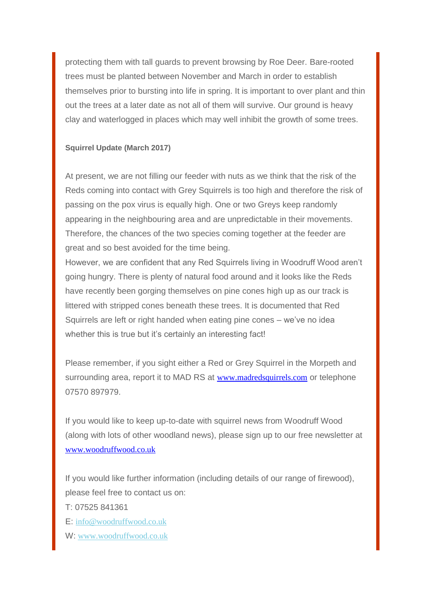protecting them with tall guards to prevent browsing by Roe Deer. Bare-rooted trees must be planted between November and March in order to establish themselves prior to bursting into life in spring. It is important to over plant and thin out the trees at a later date as not all of them will survive. Our ground is heavy clay and waterlogged in places which may well inhibit the growth of some trees.

### **Squirrel Update (March 2017)**

At present, we are not filling our feeder with nuts as we think that the risk of the Reds coming into contact with Grey Squirrels is too high and therefore the risk of passing on the pox virus is equally high. One or two Greys keep randomly appearing in the neighbouring area and are unpredictable in their movements. Therefore, the chances of the two species coming together at the feeder are great and so best avoided for the time being.

However, we are confident that any Red Squirrels living in Woodruff Wood aren't going hungry. There is plenty of natural food around and it looks like the Reds have recently been gorging themselves on pine cones high up as our track is littered with stripped cones beneath these trees. It is documented that Red Squirrels are left or right handed when eating pine cones – we've no idea whether this is true but it's certainly an interesting fact!

Please remember, if you sight either a Red or Grey Squirrel in the Morpeth and surrounding area, report it to MAD RS at [www.madredsquirrels.com](http://www.madredsquirrels.com/) or telephone 07570 897979.

If you would like to keep up-to-date with squirrel news from Woodruff Wood (along with lots of other woodland news), please sign up to our free newsletter at [www.woodruffwood.co.uk](http://www.woodruffwood.co.uk/)

If you would like further information (including details of our range of firewood), please feel free to contact us on:

T: 07525 841361

E: [info@woodruffwood.co.uk](mailto:info@woodruffwood.co.uk)

W: [www.woodruffwood.co.uk](http://madredsquirrels.us9.list-manage.com/track/click?u=de8abd118e0fd1ca285927950&id=7c23c785c2&e=0886f496fa)